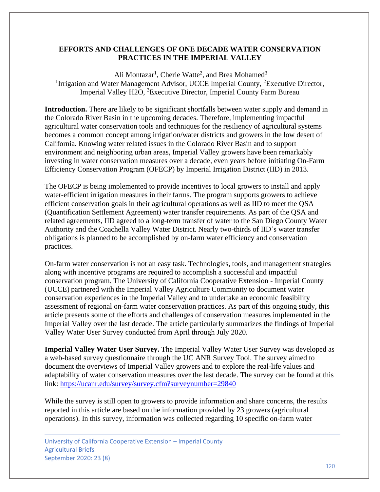## **EFFORTS AND CHALLENGES OF ONE DECADE WATER CONSERVATION PRACTICES IN THE IMPERIAL VALLEY**

Ali Montazar<sup>1</sup>, Cherie Watte<sup>2</sup>, and Brea Mohamed<sup>3</sup> <sup>1</sup>Irrigation and Water Management Advisor, UCCE Imperial County, <sup>2</sup>Executive Director, Imperial Valley H2O, <sup>3</sup>Executive Director, Imperial County Farm Bureau

**Introduction.** There are likely to be significant shortfalls between water supply and demand in the Colorado River Basin in the upcoming decades. Therefore, implementing impactful agricultural water conservation tools and techniques for the resiliency of agricultural systems becomes a common concept among irrigation/water districts and growers in the low desert of California. Knowing water related issues in the Colorado River Basin and to support environment and neighboring urban areas, Imperial Valley growers have been remarkably investing in water conservation measures over a decade, even years before initiating On-Farm Efficiency Conservation Program (OFECP) by Imperial Irrigation District (IID) in 2013.

The OFECP is being implemented to provide incentives to local growers to install and apply water-efficient irrigation measures in their farms. The program supports growers to achieve efficient conservation goals in their agricultural operations as well as IID to meet the QSA (Quantification Settlement Agreement) water transfer requirements. As part of the QSA and related agreements, IID agreed to a long-term transfer of water to the San Diego County Water Authority and the Coachella Valley Water District. Nearly two-thirds of IID's water transfer obligations is planned to be accomplished by on-farm water efficiency and conservation practices.

On-farm water conservation is not an easy task. Technologies, tools, and management strategies along with incentive programs are required to accomplish a successful and impactful conservation program. The University of California Cooperative Extension - Imperial County (UCCE) partnered with the Imperial Valley Agriculture Community to document water conservation experiences in the Imperial Valley and to undertake an economic feasibility assessment of regional on-farm water conservation practices. As part of this ongoing study, this article presents some of the efforts and challenges of conservation measures implemented in the Imperial Valley over the last decade. The article particularly summarizes the findings of Imperial Valley Water User Survey conducted from April through July 2020.

**Imperial Valley Water User Survey.** The Imperial Valley Water User Survey was developed as a web-based survey questionnaire through the UC ANR Survey Tool. The survey aimed to document the overviews of Imperial Valley growers and to explore the real-life values and adaptability of water conservation measures over the last decade. The survey can be found at this link: <https://ucanr.edu/survey/survey.cfm?surveynumber=29840>

While the survey is still open to growers to provide information and share concerns, the results reported in this article are based on the information provided by 23 growers (agricultural operations). In this survey, information was collected regarding 10 specific on-farm water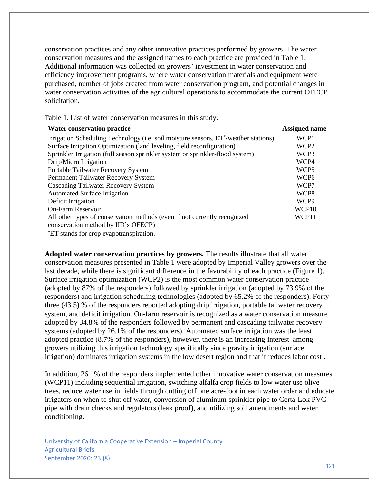conservation practices and any other innovative practices performed by growers. The water conservation measures and the assigned names to each practice are provided in Table 1. Additional information was collected on growers' investment in water conservation and efficiency improvement programs, where water conservation materials and equipment were purchased, number of jobs created from water conservation program, and potential changes in water conservation activities of the agricultural operations to accommodate the current OFECP solicitation.

| <b>Water conservation practice</b>                                                               | <b>Assigned name</b> |
|--------------------------------------------------------------------------------------------------|----------------------|
| Irrigation Scheduling Technology (i.e. soil moisture sensors, ET <sup>*</sup> /weather stations) | WCP1                 |
| Surface Irrigation Optimization (land leveling, field reconfiguration)                           | WCP <sub>2</sub>     |
| Sprinkler Irrigation (full season sprinkler system or sprinkler-flood system)                    | WCP3                 |
| Drip/Micro Irrigation                                                                            | WCP4                 |
| Portable Tailwater Recovery System                                                               | WCP <sub>5</sub>     |
| Permanent Tailwater Recovery System                                                              | WCP <sub>6</sub>     |
| <b>Cascading Tailwater Recovery System</b>                                                       | WCP7                 |
| <b>Automated Surface Irrigation</b>                                                              | WCP <sub>8</sub>     |
| Deficit Irrigation                                                                               | WCP9                 |
| <b>On-Farm Reservoir</b>                                                                         | WCP10                |
| All other types of conservation methods (even if not currently recognized                        | WCP11                |
| conservation method by IID's OFECP)                                                              |                      |
| *ET stands for crop evapotranspiration.                                                          |                      |

Table 1. List of water conservation measures in this study.

**Adopted water conservation practices by growers.** The results illustrate that all water conservation measures presented in Table 1 were adopted by Imperial Valley growers over the last decade, while there is significant difference in the favorability of each practice (Figure 1). Surface irrigation optimization (WCP2) is the most common water conservation practice (adopted by 87% of the responders) followed by sprinkler irrigation (adopted by 73.9% of the responders) and irrigation scheduling technologies (adopted by 65.2% of the responders). Fortythree (43.5) % of the responders reported adopting drip irrigation, portable tailwater recovery system, and deficit irrigation. On-farm reservoir is recognized as a water conservation measure adopted by 34.8% of the responders followed by permanent and cascading tailwater recovery systems (adopted by 26.1% of the responders). Automated surface irrigation was the least adopted practice (8.7% of the responders), however, there is an increasing interest among growers utilizing this irrigation technology specifically since gravity irrigation (surface irrigation) dominates irrigation systems in the low desert region and that it reduces labor cost .

In addition, 26.1% of the responders implemented other innovative water conservation measures (WCP11) including sequential irrigation, switching alfalfa crop fields to low water use olive trees, reduce water use in fields through cutting off one acre-foot in each water order and educate irrigators on when to shut off water, conversion of aluminum sprinkler pipe to Certa-Lok PVC pipe with drain checks and regulators (leak proof), and utilizing soil amendments and water conditioning.

University of California Cooperative Extension – Imperial County Agricultural Briefs September 2020: 23 (8)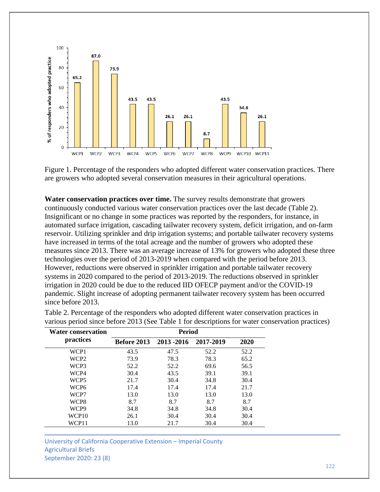

Figure 1. Percentage of the responders who adopted different water conservation practices. There are growers who adopted several conservation measures in their agricultural operations.

**Water conservation practices over time.** The survey results demonstrate that growers continuously conducted various water conservation practices over the last decade (Table 2). Insignificant or no change in some practices was reported by the responders, for instance, in automated surface irrigation, cascading tailwater recovery system, deficit irrigation, and on-farm reservoir. Utilizing sprinkler and drip irrigation systems; and portable tailwater recovery systems have increased in terms of the total acreage and the number of growers who adopted these measures since 2013. There was an average increase of 13% for growers who adopted these three technologies over the period of 2013-2019 when compared with the period before 2013. However, reductions were observed in sprinkler irrigation and portable tailwater recovery systems in 2020 compared to the period of 2013-2019. The reductions observed in sprinkler irrigation in 2020 could be due to the reduced IID OFECP payment and/or the COVID-19 pandemic. Slight increase of adopting permanent tailwater recovery system has been occurred since before 2013.

| <b>Water conservation</b> | <b>Period</b> |             |           |      |
|---------------------------|---------------|-------------|-----------|------|
| practices                 | Before 2013   | 2013 - 2016 | 2017-2019 | 2020 |
| WCP1                      | 43.5          | 47.5        | 52.2      | 52.2 |
| WCP <sub>2</sub>          | 73.9          | 78.3        | 78.3      | 65.2 |
| WCP3                      | 52.2          | 52.2        | 69.6      | 56.5 |
| WCP4                      | 30.4          | 43.5        | 39.1      | 39.1 |
| WCP <sub>5</sub>          | 21.7          | 30.4        | 34.8      | 30.4 |
| WCP <sub>6</sub>          | 17.4          | 17.4        | 17.4      | 21.7 |
| WCP7                      | 13.0          | 13.0        | 13.0      | 13.0 |
| WCP8                      | 8.7           | 8.7         | 8.7       | 8.7  |
| WCP9                      | 34.8          | 34.8        | 34.8      | 30.4 |
| WCP10                     | 26.1          | 30.4        | 30.4      | 30.4 |
| WCP11                     | 13.0          | 21.7        | 30.4      | 30.4 |

Table 2. Percentage of the responders who adopted different water conservation practices in various period since before 2013 (See Table 1 for descriptions for water conservation practices)

University of California Cooperative Extension – Imperial County Agricultural Briefs September 2020: 23 (8)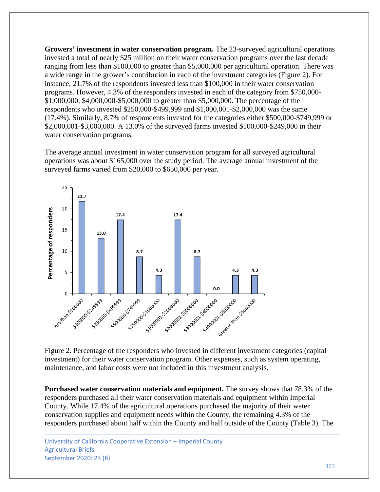**Growers' investment in water conservation program.** The 23-surveyed agricultural operations invested a total of nearly \$25 million on their water conservation programs over the last decade ranging from less than \$100,000 to greater than \$5,000,000 per agricultural operation. There was a wide range in the grower's contribution in each of the investment categories (Figure 2). For instance, 21.7% of the respondents invested less than \$100,000 in their water conservation programs. However, 4.3% of the responders invested in each of the category from \$750,000- \$1,000,000, \$4,000,000-\$5,000,000 to greater than \$5,000,000. The percentage of the respondents who invested \$250,000-\$499,999 and \$1,000,001-\$2,000,000 was the same (17.4%). Similarly, 8.7% of respondents invested for the categories either \$500,000-\$749,999 or \$2,000,001-\$3,000,000. A 13.0% of the surveyed farms invested \$100,000-\$249,000 in their water conservation programs.

The average annual investment in water conservation program for all surveyed agricultural operations was about \$165,000 over the study period. The average annual investment of the surveyed farms varied from \$20,000 to \$650,000 per year.



Figure 2. Percentage of the responders who invested in different investment categories (capital investment) for their water conservation program. Other expenses, such as system operating, maintenance, and labor costs were not included in this investment analysis.

**Purchased water conservation materials and equipment.** The survey shows that 78.3% of the responders purchased all their water conservation materials and equipment within Imperial County. While 17.4% of the agricultural operations purchased the majority of their water conservation supplies and equipment needs within the County, the remaining 4.3% of the responders purchased about half within the County and half outside of the County (Table 3). The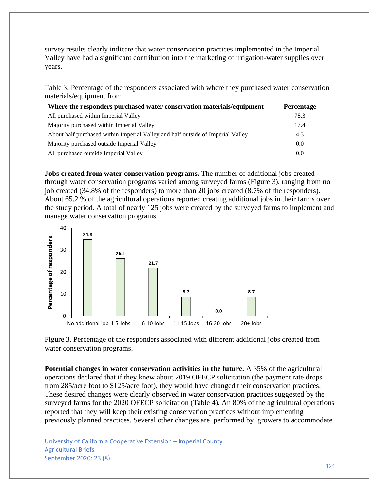survey results clearly indicate that water conservation practices implemented in the Imperial Valley have had a significant contribution into the marketing of irrigation-water supplies over years.

Table 3. Percentage of the responders associated with where they purchased water conservation materials/equipment from.

| Where the responders purchased water conservation materials/equipment           | <b>Percentage</b> |
|---------------------------------------------------------------------------------|-------------------|
| All purchased within Imperial Valley                                            | 78.3              |
| Majority purchased within Imperial Valley                                       | 17.4              |
| About half purchased within Imperial Valley and half outside of Imperial Valley | 4.3               |
| Majority purchased outside Imperial Valley                                      | 0.0               |
| All purchased outside Imperial Valley                                           | 0.0               |

**Jobs created from water conservation programs.** The number of additional jobs created through water conservation programs varied among surveyed farms (Figure 3), ranging from no job created (34.8% of the responders) to more than 20 jobs created (8.7% of the responders). About 65.2 % of the agricultural operations reported creating additional jobs in their farms over the study period. A total of nearly 125 jobs were created by the surveyed farms to implement and manage water conservation programs.



Figure 3. Percentage of the responders associated with different additional jobs created from water conservation programs.

**Potential changes in water conservation activities in the future.** A 35% of the agricultural operations declared that if they knew about 2019 OFECP solicitation (the payment rate drops from 285/acre foot to \$125/acre foot), they would have changed their conservation practices. These desired changes were clearly observed in water conservation practices suggested by the surveyed farms for the 2020 OFECP solicitation (Table 4). An 80% of the agricultural operations reported that they will keep their existing conservation practices without implementing previously planned practices. Several other changes are performed by growers to accommodate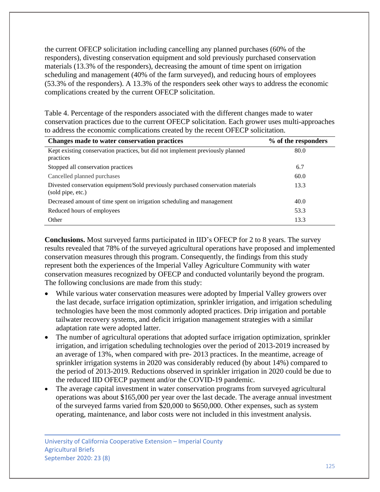the current OFECP solicitation including cancelling any planned purchases (60% of the responders), divesting conservation equipment and sold previously purchased conservation materials (13.3% of the responders), decreasing the amount of time spent on irrigation scheduling and management (40% of the farm surveyed), and reducing hours of employees (53.3% of the responders). A 13.3% of the responders seek other ways to address the economic complications created by the current OFECP solicitation.

Table 4. Percentage of the responders associated with the different changes made to water conservation practices due to the current OFECP solicitation. Each grower uses multi-approaches to address the economic complications created by the recent OFECP solicitation.

| Changes made to water conservation practices                                                          | % of the responders |
|-------------------------------------------------------------------------------------------------------|---------------------|
| Kept existing conservation practices, but did not implement previously planned<br>practices           | 80.0                |
| Stopped all conservation practices                                                                    | 6.7                 |
| Cancelled planned purchases                                                                           | 60.0                |
| Divested conservation equipment/Sold previously purchased conservation materials<br>(sold pipe, etc.) | 13.3                |
| Decreased amount of time spent on irrigation scheduling and management                                | 40.0                |
| Reduced hours of employees                                                                            | 53.3                |
| Other                                                                                                 | 13.3                |

**Conclusions.** Most surveyed farms participated in IID's OFECP for 2 to 8 years. The survey results revealed that 78% of the surveyed agricultural operations have proposed and implemented conservation measures through this program. Consequently, the findings from this study represent both the experiences of the Imperial Valley Agriculture Community with water conservation measures recognized by OFECP and conducted voluntarily beyond the program. The following conclusions are made from this study:

- While various water conservation measures were adopted by Imperial Valley growers over the last decade, surface irrigation optimization, sprinkler irrigation, and irrigation scheduling technologies have been the most commonly adopted practices. Drip irrigation and portable tailwater recovery systems, and deficit irrigation management strategies with a similar adaptation rate were adopted latter.
- The number of agricultural operations that adopted surface irrigation optimization, sprinkler irrigation, and irrigation scheduling technologies over the period of 2013-2019 increased by an average of 13%, when compared with pre- 2013 practices. In the meantime, acreage of sprinkler irrigation systems in 2020 was considerably reduced (by about 14%) compared to the period of 2013-2019. Reductions observed in sprinkler irrigation in 2020 could be due to the reduced IID OFECP payment and/or the COVID-19 pandemic.
- The average capital investment in water conservation programs from surveyed agricultural operations was about \$165,000 per year over the last decade. The average annual investment of the surveyed farms varied from \$20,000 to \$650,000. Other expenses, such as system operating, maintenance, and labor costs were not included in this investment analysis.